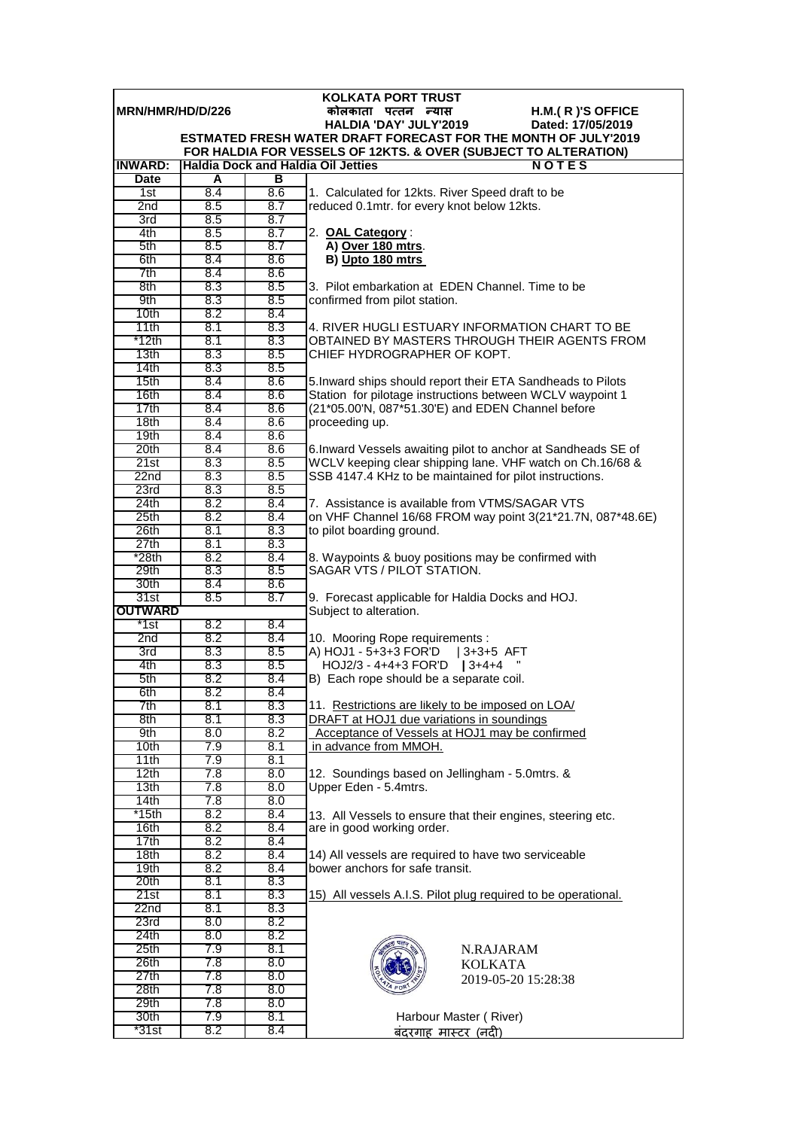|                          |            |            | <b>KOLKATA PORT TRUST</b>                                                                                            |
|--------------------------|------------|------------|----------------------------------------------------------------------------------------------------------------------|
| <b>IMRN/HMR/HD/D/226</b> |            |            | कोलकाता पत्तन न्यास<br>$H.M.(R)'S$ OFFICE                                                                            |
|                          |            |            | HALDIA 'DAY' JULY'2019<br>Dated: 17/05/2019<br><b>ESTMATED FRESH WATER DRAFT FORECAST FOR THE MONTH OF JULY'2019</b> |
|                          |            |            | FOR HALDIA FOR VESSELS OF 12KTS. & OVER (SUBJECT TO ALTERATION)                                                      |
| <b>INWARD:</b>           |            |            | <b>Haldia Dock and Haldia Oil Jetties</b><br>NOTES                                                                   |
| <b>Date</b>              | A          | в          |                                                                                                                      |
| 1st                      | 8.4        | 8.6        | 1. Calculated for 12kts. River Speed draft to be                                                                     |
| 2 <sub>nd</sub>          | 8.5        | 8.7        | reduced 0.1mtr. for every knot below 12kts.                                                                          |
| 3rd                      | 8.5        | 8.7        |                                                                                                                      |
| 4th                      | 8.5        | 8.7        | 2. OAL Category:                                                                                                     |
| 5th<br>6th               | 8.5<br>8.4 | 8.7<br>8.6 | A) Over 180 mtrs.                                                                                                    |
| 7th                      | 8.4        | 8.6        | B) Upto 180 mtrs                                                                                                     |
| 8th                      | 8.3        | 8.5        | 3. Pilot embarkation at EDEN Channel. Time to be                                                                     |
| 9th                      | 8.3        | 8.5        | confirmed from pilot station.                                                                                        |
| 10th                     | 8.2        | 8.4        |                                                                                                                      |
| 11th                     | 8.1        | 8.3        | 4. RIVER HUGLI ESTUARY INFORMATION CHART TO BE                                                                       |
| *12th                    | 8.1        | 8.3        | OBTAINED BY MASTERS THROUGH THEIR AGENTS FROM                                                                        |
| 13 <sub>th</sub>         | 8.3        | 8.5        | CHIEF HYDROGRAPHER OF KOPT.                                                                                          |
| 14th<br>15th             | 8.3<br>8.4 | 8.5<br>8.6 | 5. Inward ships should report their ETA Sandheads to Pilots                                                          |
| 16th                     | 8.4        | 8.6        | Station for pilotage instructions between WCLV waypoint 1                                                            |
| 17th                     | 8.4        | 8.6        | (21*05.00'N, 087*51.30'E) and EDEN Channel before                                                                    |
| 18th                     | 8.4        | 8.6        | proceeding up.                                                                                                       |
| 19th                     | 8.4        | 8.6        |                                                                                                                      |
| 20th                     | 8.4        | 8.6        | 6. Inward Vessels awaiting pilot to anchor at Sandheads SE of                                                        |
| 21st                     | 8.3        | 8.5        | WCLV keeping clear shipping lane. VHF watch on Ch.16/68 &                                                            |
| 22n <sub>d</sub>         | 8.3        | 8.5        | SSB 4147.4 KHz to be maintained for pilot instructions.                                                              |
| 23rd<br>24th             | 8.3<br>8.2 | 8.5<br>8.4 | 7. Assistance is available from VTMS/SAGAR VTS                                                                       |
| 25 <sub>th</sub>         | 8.2        | 8.4        | on VHF Channel 16/68 FROM way point 3(21*21.7N, 087*48.6E)                                                           |
| 26th                     | 8.1        | 8.3        | to pilot boarding ground.                                                                                            |
| 27th                     | 8.1        | 8.3        |                                                                                                                      |
| $*28th$                  | 8.2        | 8.4        | 8. Waypoints & buoy positions may be confirmed with                                                                  |
| 29th                     | 8.3        | 8.5        | SAGAR VTS / PILOT STATION.                                                                                           |
| 30th                     | 8.4        | 8.6        |                                                                                                                      |
| 31st                     | 8.5        | 8.7        | 9. Forecast applicable for Haldia Docks and HOJ.                                                                     |
| <b>OUTWARD</b><br>*1st   | 8.2        | 8.4        | Subject to alteration.                                                                                               |
| 2nd                      | 8.2        | 8.4        | 10. Mooring Rope requirements :                                                                                      |
| 3rd                      | 8.3        | 8.5        | A) HOJ1 - 5+3+3 FOR'D   3+3+5 AFT                                                                                    |
| 4th                      | 8.3        | 8.5        | HOJ2/3 - 4+4+3 FOR'D   3+4+4                                                                                         |
| 5th                      | 8.2        | 8.4        | B) Each rope should be a separate coil.                                                                              |
| 6th                      | 8.2        | 8.4        |                                                                                                                      |
| 7th                      | 8.1        | 8.3        | 11. Restrictions are likely to be imposed on LOA/                                                                    |
| 8th<br>9th               | 8.1<br>8.0 | 8.3<br>8.2 | DRAFT at HOJ1 due variations in soundings<br>Acceptance of Vessels at HOJ1 may be confirmed                          |
| 10th                     | 7.9        | 8.1        | in advance from MMOH.                                                                                                |
| 11th                     | 7.9        | 8.1        |                                                                                                                      |
| 12th                     | 7.8        | 8.0        | 12. Soundings based on Jellingham - 5.0mtrs. &                                                                       |
| 13 <sub>th</sub>         | 7.8        | 8.0        | Upper Eden - 5.4mtrs.                                                                                                |
| 14 <sub>th</sub>         | 7.8        | 8.0        |                                                                                                                      |
| *15th                    | 8.2        | 8.4        | 13. All Vessels to ensure that their engines, steering etc.                                                          |
| 16th<br>17th             | 8.2<br>8.2 | 8.4<br>8.4 | are in good working order.                                                                                           |
| 18th                     | 8.2        | 8.4        | 14) All vessels are required to have two serviceable                                                                 |
| 19th                     | 8.2        | 8.4        | bower anchors for safe transit.                                                                                      |
| 20th                     | 8.1        | 8.3        |                                                                                                                      |
| 21st                     | 8.1        | 8.3        | 15) All vessels A.I.S. Pilot plug required to be operational.                                                        |
| 22nd                     | 8.1        | 8.3        |                                                                                                                      |
| 23rd                     | 8.0        | 8.2        |                                                                                                                      |
| 24th                     | 8.0        | 8.2        |                                                                                                                      |
| 25 <sub>th</sub><br>26th | 7.9<br>7.8 | 8.1<br>0.8 | N.RAJARAM                                                                                                            |
| 27th                     | 7.8        | 8.0        | <b>KOLKATA</b>                                                                                                       |
| 28th                     | 7.8        | 8.0        | 2019-05-20 15:28:38                                                                                                  |
| 29th                     | 7.8        | 8.0        |                                                                                                                      |
| 30th                     | 7.9        | 8.1        | Harbour Master (River)                                                                                               |
| *31st                    | 8.2        | 8.4        | बंदरगाह मास्टर (नदी)                                                                                                 |